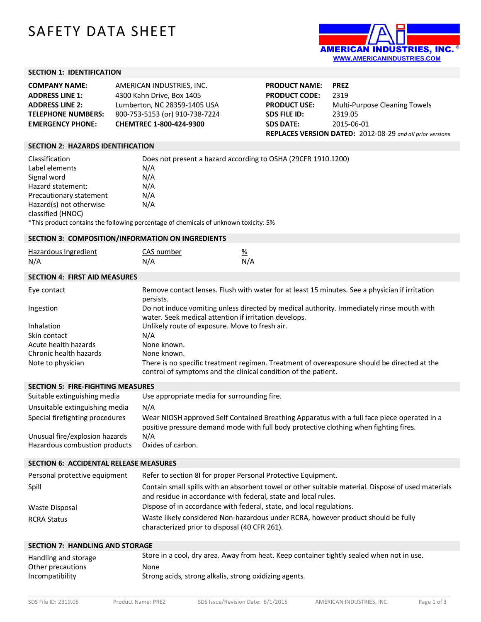# SAFETY DATA SHEET



#### **SECTION 1: IDENTIFICATION**

| <b>COMPANY NAME:</b>      | AMERICAN INDUSTRIES, INC.      |
|---------------------------|--------------------------------|
| <b>ADDRESS LINE 1:</b>    | 4300 Kahn Drive, Box 1405      |
| <b>ADDRESS LINE 2:</b>    | Lumberton, NC 28359-1405 USA   |
| <b>TELEPHONE NUMBERS:</b> | 800-753-5153 (or) 910-738-7224 |
| <b>EMERGENCY PHONE:</b>   | CHEMTREC 1-800-424-9300        |

| <b>PRODUCT NAME:</b> | <b>PREZ</b>                                                      |
|----------------------|------------------------------------------------------------------|
| <b>PRODUCT CODE:</b> | 2319                                                             |
| <b>PRODUCT USE:</b>  | Multi-Purpose Cleaning Towels                                    |
| <b>SDS FILE ID:</b>  | 2319.05                                                          |
| <b>SDS DATE:</b>     | 2015-06-01                                                       |
|                      | <b>REPLACES VERSION DATED: 2012-08-29 and all prior versions</b> |

## **SECTION 2: HAZARDS IDENTIFICATION**

| Classification                                                                       | Does not present a hazard according to OSHA (29CFR 1910.1200) |  |
|--------------------------------------------------------------------------------------|---------------------------------------------------------------|--|
| Label elements                                                                       | N/A                                                           |  |
| Signal word                                                                          | N/A                                                           |  |
| Hazard statement:                                                                    | N/A                                                           |  |
| Precautionary statement                                                              | N/A                                                           |  |
| Hazard(s) not otherwise                                                              | N/A                                                           |  |
| classified (HNOC)                                                                    |                                                               |  |
| *This product contains the following percentage of chemicals of unknown toxicity: 5% |                                                               |  |

## **SECTION 3: COMPOSITION/INFORMATION ON INGREDIENTS**

| Hazardous Ingredient | CAS number |     |
|----------------------|------------|-----|
| N/A                  | N/A        | N/A |

#### **SECTION 4: FIRST AID MEASURES**

| Eye contact            | Remove contact lenses. Flush with water for at least 15 minutes. See a physician if irritation<br>persists.                                                   |
|------------------------|---------------------------------------------------------------------------------------------------------------------------------------------------------------|
| Ingestion              | Do not induce vomiting unless directed by medical authority. Immediately rinse mouth with<br>water. Seek medical attention if irritation develops.            |
| Inhalation             | Unlikely route of exposure. Move to fresh air.                                                                                                                |
| Skin contact           | N/A                                                                                                                                                           |
| Acute health hazards   | None known.                                                                                                                                                   |
| Chronic health hazards | None known.                                                                                                                                                   |
| Note to physician      | There is no specific treatment regimen. Treatment of overexposure should be directed at the<br>control of symptoms and the clinical condition of the patient. |

#### **SECTION 5: FIRE-FIGHTING MEASURES**

| Suitable extinguishing media                                    | Use appropriate media for surrounding fire.                                                                                                                                          |
|-----------------------------------------------------------------|--------------------------------------------------------------------------------------------------------------------------------------------------------------------------------------|
| Unsuitable extinguishing media                                  | N/A                                                                                                                                                                                  |
| Special firefighting procedures                                 | Wear NIOSH approved Self Contained Breathing Apparatus with a full face piece operated in a<br>positive pressure demand mode with full body protective clothing when fighting fires. |
| Unusual fire/explosion hazards<br>Hazardous combustion products | N/A<br>Oxides of carbon.                                                                                                                                                             |

#### **SECTION 6: ACCIDENTAL RELEASE MEASURES**

| Personal protective equipment | Refer to section 8I for proper Personal Protective Equipment.                                                                                                        |
|-------------------------------|----------------------------------------------------------------------------------------------------------------------------------------------------------------------|
| Spill                         | Contain small spills with an absorbent towel or other suitable material. Dispose of used materials<br>and residue in accordance with federal, state and local rules. |
| Waste Disposal                | Dispose of in accordance with federal, state, and local regulations.                                                                                                 |
| <b>RCRA Status</b>            | Waste likely considered Non-hazardous under RCRA, however product should be fully<br>characterized prior to disposal (40 CFR 261).                                   |

#### **SECTION 7: HANDLING AND STORAGE**

| Handling and storage | Store in a cool, dry area. Away from heat. Keep container tightly sealed when not in use. |
|----------------------|-------------------------------------------------------------------------------------------|
| Other precautions    | None                                                                                      |
| Incompatibility      | Strong acids, strong alkalis, strong oxidizing agents.                                    |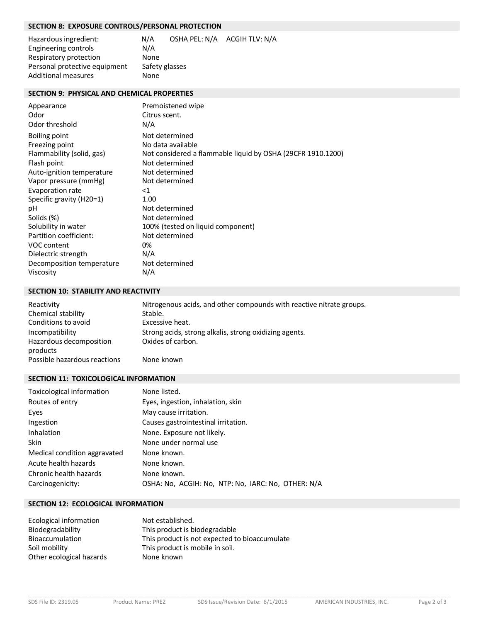# **SECTION 8: EXPOSURE CONTROLS/PERSONAL PROTECTION**

| Hazardous ingredient:         | N/A            | OSHA PEL: N/A ACGIH TLV: N/A |  |
|-------------------------------|----------------|------------------------------|--|
| Engineering controls          | N/A            |                              |  |
| Respiratory protection        | None           |                              |  |
| Personal protective equipment | Safety glasses |                              |  |
| <b>Additional measures</b>    | None.          |                              |  |

# **SECTION 9: PHYSICAL AND CHEMICAL PROPERTIES**

| Appearance                | Premoistened wipe                                           |
|---------------------------|-------------------------------------------------------------|
| Odor                      | Citrus scent.                                               |
| Odor threshold            | N/A                                                         |
| Boiling point             | Not determined                                              |
| Freezing point            | No data available                                           |
| Flammability (solid, gas) | Not considered a flammable liquid by OSHA (29CFR 1910.1200) |
| Flash point               | Not determined                                              |
| Auto-ignition temperature | Not determined                                              |
| Vapor pressure (mmHg)     | Not determined                                              |
| Evaporation rate          | ${<}1$                                                      |
| Specific gravity (H20=1)  | 1.00                                                        |
| рH                        | Not determined                                              |
| Solids (%)                | Not determined                                              |
| Solubility in water       | 100% (tested on liquid component)                           |
| Partition coefficient:    | Not determined                                              |
| VOC content               | 0%                                                          |
| Dielectric strength       | N/A                                                         |
| Decomposition temperature | Not determined                                              |
| Viscosity                 | N/A                                                         |

# **SECTION 10: STABILITY AND REACTIVITY**

| Reactivity                                             | Nitrogenous acids, and other compounds with reactive nitrate groups.        |
|--------------------------------------------------------|-----------------------------------------------------------------------------|
| Chemical stability                                     | Stable.                                                                     |
| Conditions to avoid                                    | Excessive heat.                                                             |
| Incompatibility<br>Hazardous decomposition<br>products | Strong acids, strong alkalis, strong oxidizing agents.<br>Oxides of carbon. |
| Possible hazardous reactions                           | None known                                                                  |

# **SECTION 11: TOXICOLOGICAL INFORMATION**

| Toxicological information    | None listed.                                       |
|------------------------------|----------------------------------------------------|
| Routes of entry              | Eyes, ingestion, inhalation, skin                  |
| Eyes                         | May cause irritation.                              |
| Ingestion                    | Causes gastrointestinal irritation.                |
| Inhalation                   | None. Exposure not likely.                         |
| <b>Skin</b>                  | None under normal use                              |
| Medical condition aggravated | None known.                                        |
| Acute health hazards         | None known.                                        |
| Chronic health hazards       | None known.                                        |
| Carcinogenicity:             | OSHA: No, ACGIH: No, NTP: No, IARC: No, OTHER: N/A |

## **SECTION 12: ECOLOGICAL INFORMATION**

| Ecological information   | Not established.                              |
|--------------------------|-----------------------------------------------|
| Biodegradability         | This product is biodegradable                 |
| Bioaccumulation          | This product is not expected to bioaccumulate |
| Soil mobility            | This product is mobile in soil.               |
| Other ecological hazards | None known                                    |